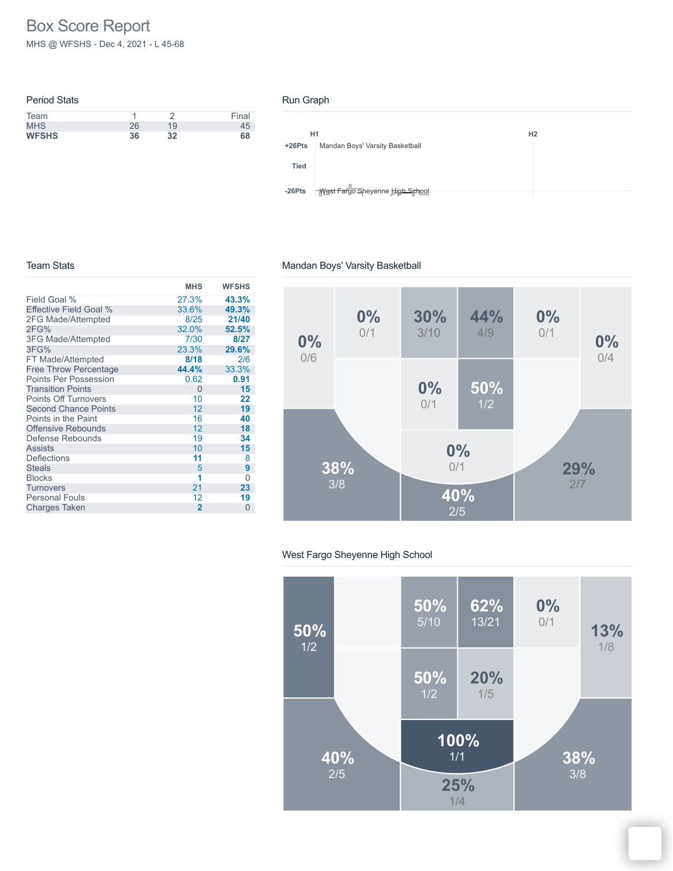# Box Score Report

MHS @ WFSHS - Dec 4, 2021 - L 45-68

| <b>Period Stats</b> |    |    |       |
|---------------------|----|----|-------|
| Team                |    |    | Final |
| <b>MHS</b>          | 26 | 19 | 45    |
| <b>WFSHS</b>        | 36 | 32 | 68    |
|                     |    |    |       |

#### Run Graph

|             | H1                              | H <sub>2</sub> |  |
|-------------|---------------------------------|----------------|--|
| $+26Pts$    | Mandan Boys' Varsity Basketball |                |  |
| <b>Tied</b> |                                 |                |  |
| $-26Pts$    | West Fargo Sheyenne High School |                |  |

#### Team Stats

|                              | <b>MHS</b>     | <b>WFSHS</b> |
|------------------------------|----------------|--------------|
| Field Goal %                 | 27.3%          | 43.3%        |
| Effective Field Goal %       | 33.6%          | 49.3%        |
| 2FG Made/Attempted           | 8/25           | 21/40        |
| 2FG%                         | 32.0%          | 52.5%        |
| <b>3FG Made/Attempted</b>    | 7/30           | 8/27         |
| 3FG%                         | 23.3%          | 29.6%        |
| FT Made/Attempted            | 8/18           | 2/6          |
| <b>Free Throw Percentage</b> | 44.4%          | 33.3%        |
| <b>Points Per Possession</b> | 0.62           | 0.91         |
| <b>Transition Points</b>     | $\overline{0}$ | 15           |
| <b>Points Off Turnovers</b>  | 10             | 22           |
| <b>Second Chance Points</b>  | 12             | 19           |
| Points in the Paint          | 16             | 40           |
| <b>Offensive Rebounds</b>    | 12             | 18           |
| Defense Rebounds             | 19             | 34           |
| <b>Assists</b>               | 10             | 15           |
| <b>Deflections</b>           | 11             | 8            |
| <b>Steals</b>                | 5              | 9            |
| <b>Blocks</b>                | 1              | 0            |
| Turnovers                    | 21             | 23           |
| <b>Personal Fouls</b>        | 12             | 19           |
| <b>Charges Taken</b>         | $\overline{2}$ | $\Omega$     |

#### Mandan Boys' Varsity Basketball



#### West Fargo Sheyenne High School